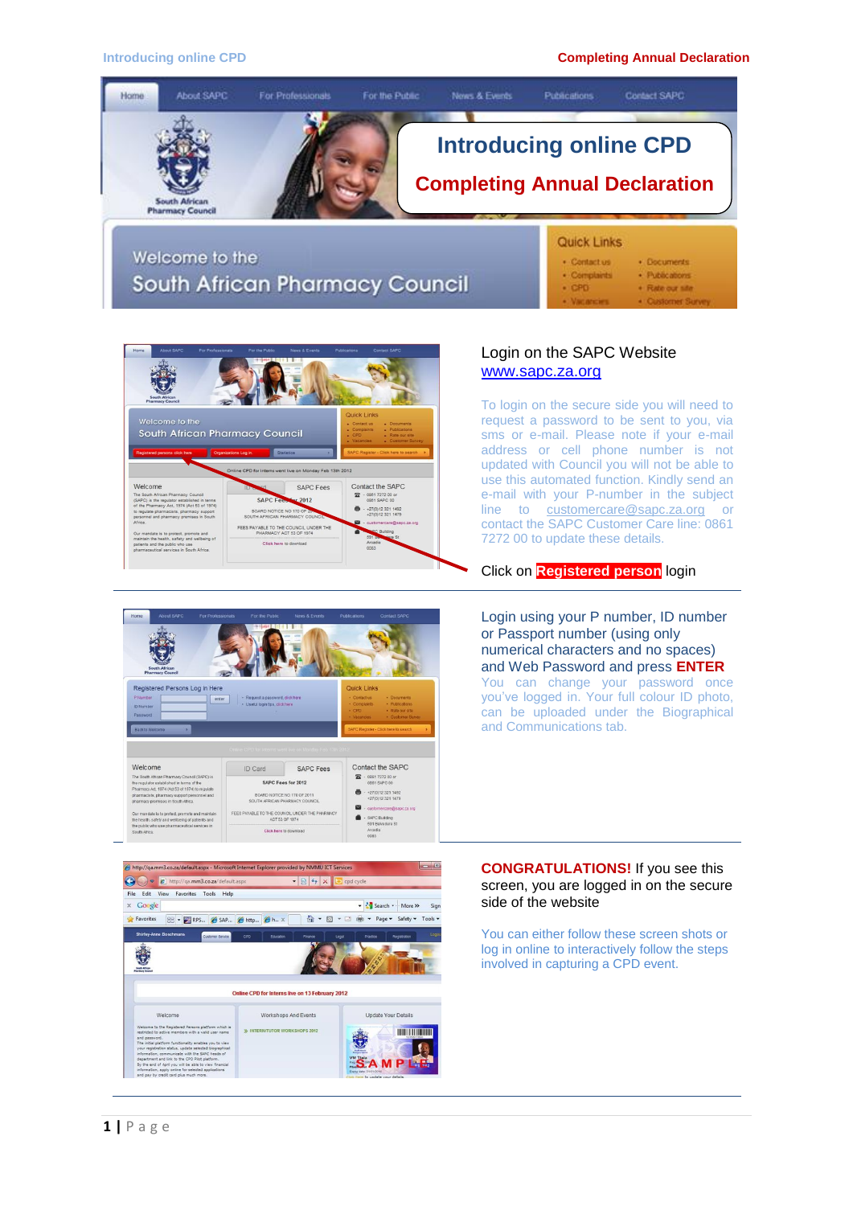#### **Introducing online CPD Completing Annual Declaration**





# Login on the SAPC Website [www.sapc.za.org](http://www.sapc.za.org/)

To login on the secure side you will need to request a password to be sent to you, via sms or e-mail. Please note if your e-mail address or cell phone number is not updated with Council you will not be able to use this automated function. Kindly send an e-mail with your P-number in the subject line to [customercare@sapc.za.org](mailto:customercare@sapc.za.org) or contact the SAPC Customer Care line: 0861 7272 00 to update these details.

#### Click on **Registered person** login





Login using your P number, ID number or Passport number (using only numerical characters and no spaces) and Web Password and press **ENTER** You can change your password once you've logged in. Your full colour ID photo, can be uploaded under the Biographical and Communications tab.

**CONGRATULATIONS!** If you see this screen, you are logged in on the secure side of the website

You can either follow these screen shots or log in online to interactively follow the steps involved in capturing a CPD event.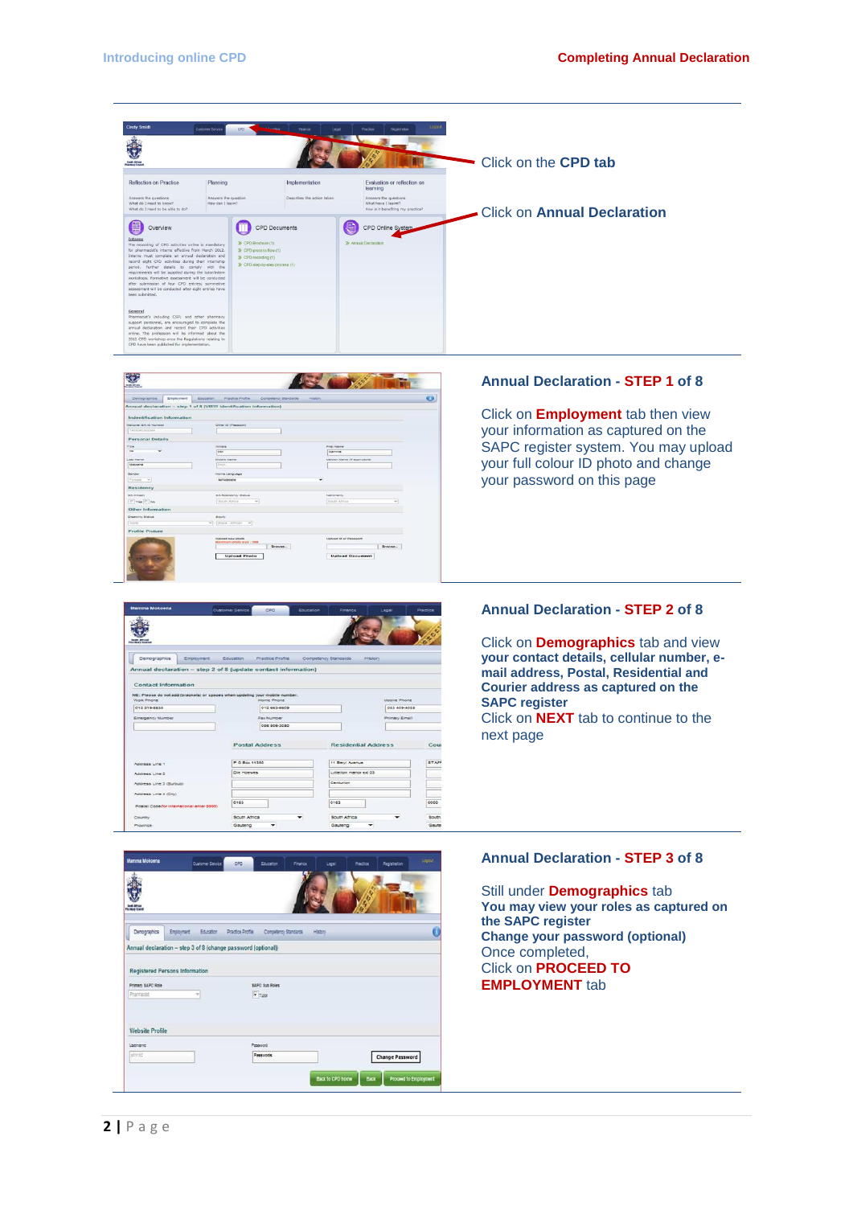



# **Annual Declaration - STEP 1 of 8**

Click on **Employment** tab then view your information as captured on the SAPC register system. You may upload your full colour ID photo and change your password on this page



Click on **Demographics** tab and view **your contact details, cellular number, email address, Postal, Residential and Courier address as captured on the SAPC register**  Click on **NEXT** tab to continue to the next page

# **Annual Declaration - STEP 3 of 8**

Still under **Demographics** tab **You may view your roles as captured on the SAPC register Change your password (optional)** Once completed, Click on **PROCEED TO EMPLOYMENT** tab



 $\ddot{\bullet}$ 

Democr

NB: Please do<br>Work Phone<br>012 319-8535

Accress Line 2

egency Number

tics Employment

Education

Annual declaration - step 2 of 8 (update contact information)

Practice Profile

Home Phone<br>| 012 663-6609

Fax Number<br>086 506-3050

Postal Address P O Box 1135

 $\sim$ 

Res

11 Berri Avenue

. . . . . .

nooile Phone

.<br>Primary Email

STAR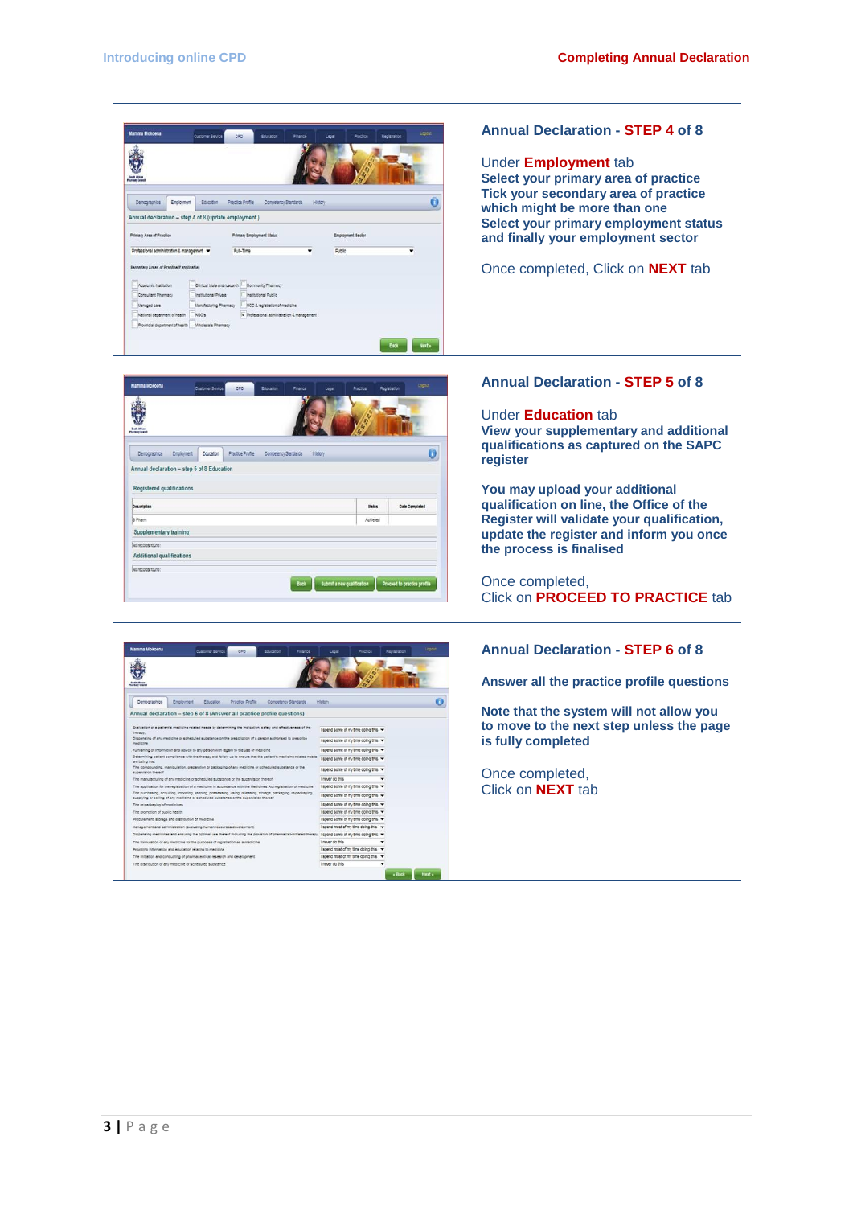



| <b>Mamma Mokoena</b>                                                                                                                                                                                      |                                                         | <b>Customer Service</b> | CPD              | Education            | Finance | Legal                                                   | Practice | Registration | topout |
|-----------------------------------------------------------------------------------------------------------------------------------------------------------------------------------------------------------|---------------------------------------------------------|-------------------------|------------------|----------------------|---------|---------------------------------------------------------|----------|--------------|--------|
| <b>Photograph Council</b>                                                                                                                                                                                 |                                                         |                         |                  |                      |         |                                                         |          |              |        |
| Demographics                                                                                                                                                                                              | Employment                                              | Education               | Practice Profile | Competency Standards |         | History                                                 |          |              |        |
| Annual declaration - step 6 of 8 (Answer all practice profile questions)                                                                                                                                  |                                                         |                         |                  |                      |         |                                                         |          |              |        |
| Evaluation of a patient's medicine related needs by determining the indication, safety and effectiveness of the<br>thereon:                                                                               |                                                         |                         |                  |                      |         | I spend some of my time doing this $\blacktriangledown$ |          |              |        |
| Dispensing of any medicine or scheduled substance on the prescription of a person authorised to prescribe<br>medicine                                                                                     |                                                         |                         |                  |                      |         | I spend some of my time doing this                      |          |              |        |
| Furnishing of information and advice to any person with regard to the use of medicine.                                                                                                                    |                                                         |                         |                  |                      |         | I spend some of my time doing this -                    |          |              |        |
| Determining patient compliance with the therapy and follow up to ensure that the patient's medicine related needs.<br>are being met                                                                       |                                                         |                         |                  |                      |         | I spend some of my time doing this Y                    |          |              |        |
| The compounding, manipulation, preparation or packaging of any medicine or scheduled substance or the<br><b>SUDANISTIC PARADI</b>                                                                         |                                                         |                         |                  |                      |         | I spend some of my time doing this                      |          |              |        |
| The manufacturing of any medicine or scheduled substance or the supervision thereof                                                                                                                       |                                                         |                         |                  |                      |         | I never do this                                         |          |              |        |
| The application for the registration of a medicine in accordance with the liedicines Act registration of medicine                                                                                         |                                                         |                         |                  |                      |         | I spend some of my time doing this                      |          |              |        |
| The purchasing, acquiring, importing, keeping, possessing, using, releasing, storage, packaging, re-packaging,<br>supplying or selling of any medicine or scheduled substance or the supervision thereof. |                                                         |                         |                  |                      |         | I spend some of my time doing this -                    |          |              |        |
| The re-packaging of medicines                                                                                                                                                                             |                                                         |                         |                  |                      |         | I spend some of my time doing this v                    |          |              |        |
| The conmotion of quisiin health                                                                                                                                                                           |                                                         |                         |                  |                      |         | I spend some of my time doing this                      |          |              |        |
| Procurement, storage and distribution of medicine                                                                                                                                                         |                                                         |                         |                  |                      |         | I spend some of my time doing this                      |          |              |        |
| Management and administration (excluding human resources development)                                                                                                                                     |                                                         |                         |                  |                      |         | I spend most of my time doing this v                    |          |              |        |
| Dispensing medicines and ensuring the optimal use thereof including the provision of pharmacist-initiated therapy   spend some of my time doing this $\star$                                              |                                                         |                         |                  |                      |         |                                                         |          |              |        |
| The formulation of any medicine for the purposes of registration as a medicine                                                                                                                            |                                                         |                         |                  |                      |         | I never do this                                         |          |              |        |
| Providing information and education relating to medicine                                                                                                                                                  |                                                         |                         |                  |                      |         | I spend most of my time doing this                      |          |              |        |
| The initiation and conducting of pharmaceutical research and development.                                                                                                                                 |                                                         |                         |                  |                      |         | I spend most of my time doing this v                    |          |              |        |
|                                                                                                                                                                                                           | The distribution of any medicine or scheduled substance |                         |                  |                      |         |                                                         |          |              |        |

### **Annual Declaration - STEP 4 of 8**

Under **Employment** tab **Select your primary area of practice Tick your secondary area of practice which might be more than one Select your primary employment status and finally your employment sector**

Once completed, Click on **NEXT** tab

#### **Annual Declaration - STEP 5 of 8**

Under **Education** tab **View your supplementary and additional qualifications as captured on the SAPC register** 

**You may upload your additional qualification on line, the Office of the Register will validate your qualification, update the register and inform you once the process is finalised** 

Once completed, Click on **PROCEED TO PRACTICE** tab

# **Annual Declaration - STEP 6 of 8**

**Answer all the practice profile questions**

**Note that the system will not allow you to move to the next step unless the page is fully completed** 

Once completed, Click on **NEXT** tab